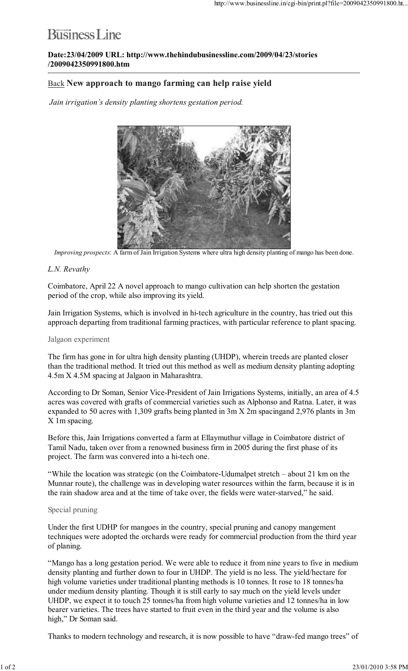# **Business** Line

Date:23/04/2009 URL: http://www.thehindubusinessline.com/2009/04/23/stories /2009042350991800.htm

## Back New approach to mango farming can help raise yield

Jain irrigation's density planting shortens gestation period.



Improving prospects: A farm of Jain Irrigation Systems where ultra high density planting of mango has been done.

### L.N. Revathy

Coimbatore, April 22 A novel approach to mango cultivation can help shorten the gestation period of the crop, while also improving its yield.

Jain Irrigation Systems, which is involved in hi-tech agriculture in the country, has tried out this approach departing from traditional farming practices, with particular reference to plant spacing.

#### Jalgaon experiment

The firm has gone in for ultra high density planting (UHDP), wherein treeds are planted closer than the traditional method. It tried out this method as well as medium density planting adopting 4.5m X 4.5M spacing at Jalgaon in Maharashtra.

According to Dr Soman, Senior Vice-President of Jain Irrigations Systems, initially, an area of 4.5 acres was covered with grafts of commercial varieties such as Alphonso and Ratna. Later, it was expanded to 50 acres with 1,309 grafts being planted in 3m X 2m spacingand 2,976 plants in 3m X 1m spacing.

Before this, Jain Irrigations converted a farm at Ellaymuthur village in Coimbatore district of Tamil Nadu, taken over from a renowned business firm in 2005 during the first phase of its project. The farm was convered into a hi-tech one.

"While the location was strategic (on the Coimbatore-Udumalpet stretch – about 21 km on the Munnar route), the challenge was in developing water resources within the farm, because it is in the rain shadow area and at the time of take over, the fields were water-starved," he said.

#### Special pruning

Under the first UDHP for mangoes in the country, special pruning and canopy mangement techniques were adopted the orchards were ready for commercial production from the third year of planing.

"Mango has a long gestation period. We were able to reduce it from nine years to five in medium density planting and further down to four in UHDP. The yield is no less. The yield/hectare for high volume varieties under traditional planting methods is 10 tonnes. It rose to 18 tonnes/ha under medium density planting. Though it is still early to say much on the yield levels under UHDP, we expect it to touch 25 tonnes/ha from high volume varieties and 12 tonnes/ha in low bearer varieties. The trees have started to fruit even in the third year and the volume is also high," Dr Soman said.

Thanks to modern technology and research, it is now possible to have "draw-fed mango trees" of